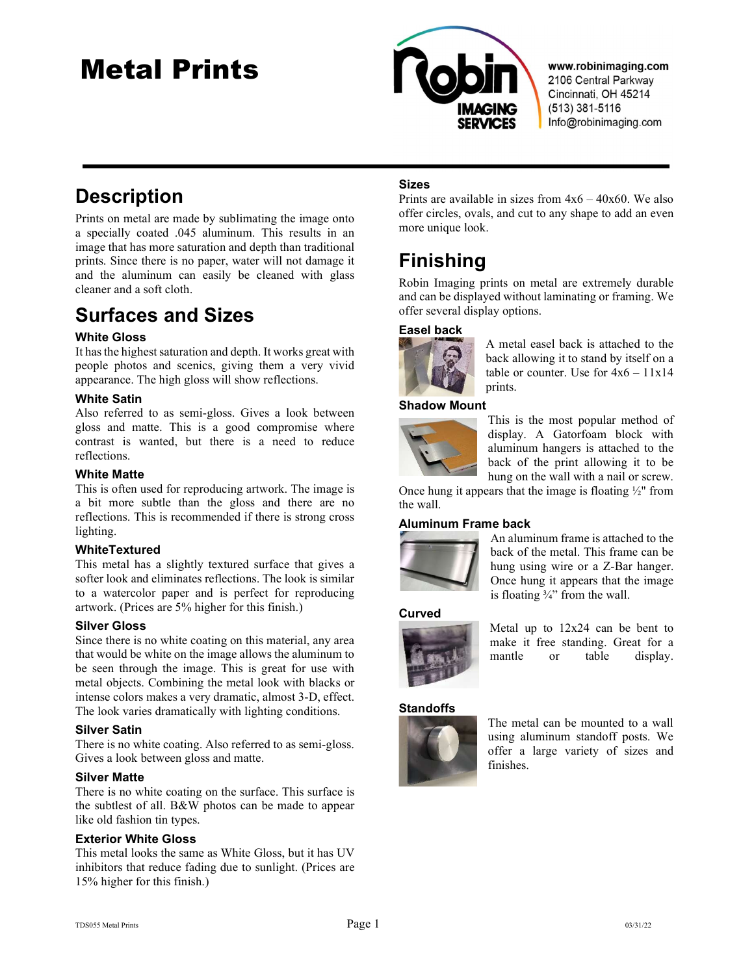## Metal Prints



www.robinimaging.com 2106 Central Parkway Cincinnati, OH 45214  $(513)$  381-5116 Info@robinimaging.com

## **Description**

Prints on metal are made by sublimating the image onto a specially coated .045 aluminum. This results in an image that has more saturation and depth than traditional prints. Since there is no paper, water will not damage it and the aluminum can easily be cleaned with glass cleaner and a soft cloth.

## Surfaces and Sizes

#### White Gloss

It has the highest saturation and depth. It works great with people photos and scenics, giving them a very vivid appearance. The high gloss will show reflections.

#### White Satin

Also referred to as semi-gloss. Gives a look between gloss and matte. This is a good compromise where contrast is wanted, but there is a need to reduce reflections.

#### White Matte

This is often used for reproducing artwork. The image is a bit more subtle than the gloss and there are no reflections. This is recommended if there is strong cross lighting.

#### WhiteTextured

This metal has a slightly textured surface that gives a softer look and eliminates reflections. The look is similar to a watercolor paper and is perfect for reproducing artwork. (Prices are 5% higher for this finish.)

#### Silver Gloss

Since there is no white coating on this material, any area that would be white on the image allows the aluminum to be seen through the image. This is great for use with metal objects. Combining the metal look with blacks or intense colors makes a very dramatic, almost 3-D, effect. The look varies dramatically with lighting conditions.

#### Silver Satin

There is no white coating. Also referred to as semi-gloss. Gives a look between gloss and matte.

#### Silver Matte

There is no white coating on the surface. This surface is the subtlest of all. B&W photos can be made to appear like old fashion tin types.

#### Exterior White Gloss

This metal looks the same as White Gloss, but it has UV inhibitors that reduce fading due to sunlight. (Prices are 15% higher for this finish.)

#### Sizes

Prints are available in sizes from  $4x6 - 40x60$ . We also offer circles, ovals, and cut to any shape to add an even more unique look.

## Finishing

Robin Imaging prints on metal are extremely durable and can be displayed without laminating or framing. We offer several display options.

#### Easel back



A metal easel back is attached to the back allowing it to stand by itself on a table or counter. Use for  $4x6 - 11x14$ prints.

#### Shadow Mount



This is the most popular method of display. A Gatorfoam block with aluminum hangers is attached to the back of the print allowing it to be hung on the wall with a nail or screw.

Once hung it appears that the image is floating ½" from the wall.

#### Aluminum Frame back



An aluminum frame is attached to the back of the metal. This frame can be hung using wire or a Z-Bar hanger. Once hung it appears that the image is floating  $\frac{3}{4}$ " from the wall.

#### Curved



Metal up to 12x24 can be bent to make it free standing. Great for a mantle or table display.

#### **Standoffs**



The metal can be mounted to a wall using aluminum standoff posts. We offer a large variety of sizes and finishes.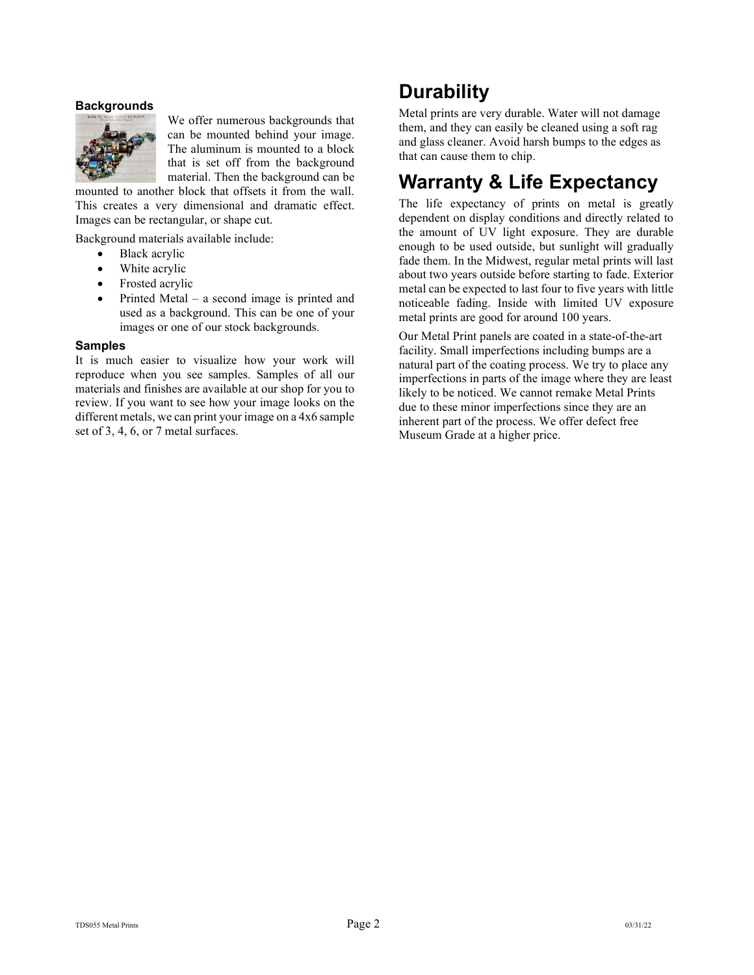#### **Backgrounds**



We offer numerous backgrounds that can be mounted behind your image. The aluminum is mounted to a block that is set off from the background material. Then the background can be

mounted to another block that offsets it from the wall. This creates a very dimensional and dramatic effect. Images can be rectangular, or shape cut.

Background materials available include:

- Black acrylic
- White acrylic
- Frosted acrylic
- Printed Metal a second image is printed and used as a background. This can be one of your images or one of our stock backgrounds.

#### Samples

It is much easier to visualize how your work will reproduce when you see samples. Samples of all our materials and finishes are available at our shop for you to review. If you want to see how your image looks on the different metals, we can print your image on a 4x6 sample set of 3, 4, 6, or 7 metal surfaces.

## **Durability**

Metal prints are very durable. Water will not damage them, and they can easily be cleaned using a soft rag and glass cleaner. Avoid harsh bumps to the edges as that can cause them to chip.

## Warranty & Life Expectancy

The life expectancy of prints on metal is greatly dependent on display conditions and directly related to the amount of UV light exposure. They are durable enough to be used outside, but sunlight will gradually fade them. In the Midwest, regular metal prints will last about two years outside before starting to fade. Exterior metal can be expected to last four to five years with little noticeable fading. Inside with limited UV exposure metal prints are good for around 100 years.

Our Metal Print panels are coated in a state-of-the-art facility. Small imperfections including bumps are a natural part of the coating process. We try to place any imperfections in parts of the image where they are least likely to be noticed. We cannot remake Metal Prints due to these minor imperfections since they are an inherent part of the process. We offer defect free Museum Grade at a higher price.